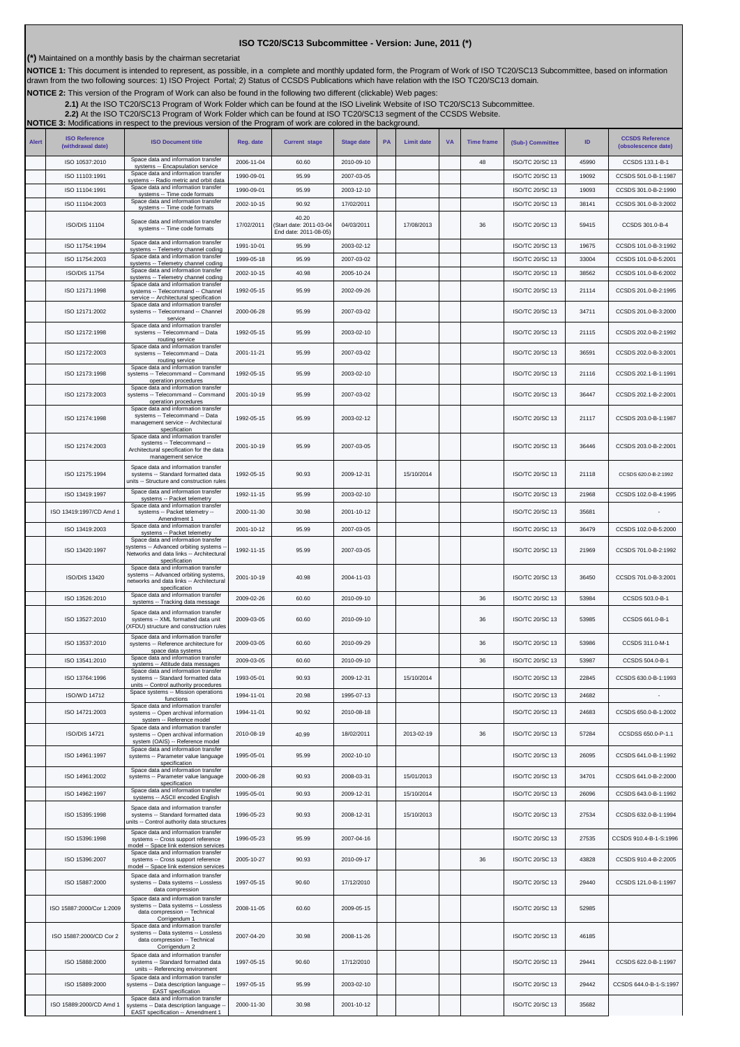## **ISO TC20/SC13 Subcommittee - Version: June, 2011 (\*)**

**(\*)** Maintained on a monthly basis by the chairman secretariat

NOTICE 1: This document is intended to represent, as possible, in a complete and monthly updated form, the Program of Work of ISO TC20/SC13 Subcommittee, based on information<br>drawn from the two following sources: 1) ISO Pr

**NOTICE 2:** This version of the Program of Work can also be found in the following two different (clickable) Web pages:

2.1)At the ISO TC20/SC13 Program of Work Folder which can be found at the ISO Livelink Website of ISO TC20/SC13 Subcommittee.<br>[2.2\)](http://cwe.ccsds.org/cmc/docs/Forms/AllItems.aspx?RootFolder=%2fcmc%2fdocs%2fISO%20TC20%2dSC13%2fISO%20TC20%2dSC13%20Meeting%20Minutes%20and%20Presentations&FolderCTID=&View=%7bD5DD30F7%2d53FC%2d45B9%2d8B93%2d709B280A475B%7d) At the ISO TC20/SC13 Program of Work Folder which can be found at ISO TC20/SC13 segment of

**NOTICE 3:** Modifications in respect to the previous version of the Program of work are colored in the background.

| <b>Alert</b> | <b>ISO Reference</b><br>(withdrawal date) | <b>ISO Document title</b>                                                                                                                            | Reg. date  | <b>Current stage</b>                                     | <b>Stage date</b> | PA | <b>Limit date</b> | <b>VA</b> | <b>Time frame</b> | (Sub-) Committee       | ID    | <b>CCSDS Reference</b><br>(obsolescence date) |
|--------------|-------------------------------------------|------------------------------------------------------------------------------------------------------------------------------------------------------|------------|----------------------------------------------------------|-------------------|----|-------------------|-----------|-------------------|------------------------|-------|-----------------------------------------------|
|              | ISO 10537:2010                            | Space data and information transfer<br>systems -- Encapsulation service                                                                              | 2006-11-04 | 60.60                                                    | 2010-09-10        |    |                   |           | 48                | ISO/TC 20/SC 13        | 45990 | CCSDS 133.1-B-1                               |
|              | ISO 11103:1991                            | Space data and information transfer<br>systems -- Radio metric and orbit data                                                                        | 1990-09-01 | 95.99                                                    | 2007-03-05        |    |                   |           |                   | ISO/TC 20/SC 13        | 19092 | CCSDS 501.0-B-1:1987                          |
|              | ISO 11104:1991                            | Space data and information transfer<br>systems -- Time code formats                                                                                  | 1990-09-01 | 95.99                                                    | 2003-12-10        |    |                   |           |                   | ISO/TC 20/SC 13        | 19093 | CCSDS 301.0-B-2:1990                          |
|              | ISO 11104:2003                            | Space data and information transfer<br>systems -- Time code formats                                                                                  | 2002-10-15 | 90.92                                                    | 17/02/2011        |    |                   |           |                   | ISO/TC 20/SC 13        | 38141 | CCSDS 301.0-B-3:2002                          |
|              | <b>ISO/DIS 11104</b>                      | Space data and information transfer<br>systems -- Time code formats                                                                                  | 17/02/2011 | 40.20<br>Start date: 2011-03-04<br>End date: 2011-08-05) | 04/03/2011        |    | 17/08/2013        |           | 36                | <b>ISO/TC 20/SC 13</b> | 59415 | CCSDS 301.0-B-4                               |
|              | ISO 11754:1994                            | Space data and information transfer<br>systems -- Telemetry channel coding                                                                           | 1991-10-01 | 95.99                                                    | 2003-02-12        |    |                   |           |                   | ISO/TC 20/SC 13        | 19675 | CCSDS 101.0-B-3:1992                          |
|              | ISO 11754:2003                            | Space data and information transfer<br>systems -- Telemetry channel coding                                                                           | 1999-05-18 | 95.99                                                    | 2007-03-02        |    |                   |           |                   | ISO/TC 20/SC 13        | 33004 | CCSDS 101.0-B-5:2001                          |
|              | <b>ISO/DIS 11754</b>                      | Space data and information transfer<br>systems -- Telemetry channel coding                                                                           | 2002-10-15 | 40.98                                                    | 2005-10-24        |    |                   |           |                   | ISO/TC 20/SC 13        | 38562 | CCSDS 101.0-B-6:2002                          |
|              | ISO 12171:1998                            | Space data and information transfer<br>systems -- Telecommand -- Channel<br>service -- Architectural specification                                   | 1992-05-15 | 95.99                                                    | 2002-09-26        |    |                   |           |                   | ISO/TC 20/SC 13        | 21114 | CCSDS 201.0-B-2:1995                          |
|              | ISO 12171:2002                            | Space data and information transfer<br>systems -- Telecommand -- Channel<br>service<br>Space data and information transfer                           | 2000-06-28 | 95.99                                                    | 2007-03-02        |    |                   |           |                   | ISO/TC 20/SC 13        | 34711 | CCSDS 201.0-B-3:2000                          |
|              | ISO 12172:1998                            | systems -- Telecommand -- Data<br>routing service<br>Space data and information transfer                                                             | 1992-05-15 | 95.99                                                    | 2003-02-10        |    |                   |           |                   | ISO/TC 20/SC 13        | 21115 | CCSDS 202.0-B-2:1992                          |
|              | ISO 12172:2003                            | systems -- Telecommand -- Data<br>routing service<br>Space data and information transfer                                                             | 2001-11-21 | 95.99                                                    | 2007-03-02        |    |                   |           |                   | ISO/TC 20/SC 13        | 36591 | CCSDS 202.0-B-3:2001                          |
|              | ISO 12173:1998                            | systems -- Telecommand -- Command<br>operation procedures                                                                                            | 1992-05-15 | 95.99                                                    | 2003-02-10        |    |                   |           |                   | ISO/TC 20/SC 13        | 21116 | CCSDS 202.1-B-1:1991                          |
|              | ISO 12173:2003                            | Space data and information transfer<br>systems -- Telecommand -- Command<br>operation procedures                                                     | 2001-10-19 | 95.99                                                    | 2007-03-02        |    |                   |           |                   | ISO/TC 20/SC 13        | 36447 | CCSDS 202.1-B-2:2001                          |
|              | ISO 12174:1998                            | Space data and information transfer<br>systems -- Telecommand -- Data<br>management service -- Architectural<br>specification                        | 1992-05-15 | 95.99                                                    | 2003-02-12        |    |                   |           |                   | ISO/TC 20/SC 13        | 21117 | CCSDS 203.0-B-1:1987                          |
|              | ISO 12174:2003                            | Space data and information transfer<br>systems -- Telecommand --<br>Architectural specification for the data<br>management service                   | 2001-10-19 | 95.99                                                    | 2007-03-05        |    |                   |           |                   | ISO/TC 20/SC 13        | 36446 | CCSDS 203.0-B-2:2001                          |
|              | ISO 12175:1994                            | Space data and information transfer<br>systems -- Standard formatted data<br>units -- Structure and construction rules                               | 1992-05-15 | 90.93                                                    | 2009-12-31        |    | 15/10/2014        |           |                   | ISO/TC 20/SC 13        | 21118 | CCSDS 620.0-B-2:1992                          |
|              | ISO 13419:1997                            | Space data and information transfer<br>systems -- Packet telemetry                                                                                   | 1992-11-15 | 95.99                                                    | 2003-02-10        |    |                   |           |                   | ISO/TC 20/SC 13        | 21968 | CCSDS 102.0-B-4:1995                          |
|              | ISO 13419:1997/CD Amd 1                   | Space data and information transfer<br>systems -- Packet telemetry --<br>Amendment 1                                                                 | 2000-11-30 | 30.98                                                    | 2001-10-12        |    |                   |           |                   | ISO/TC 20/SC 13        | 35681 |                                               |
|              | ISO 13419:2003                            | Space data and information transfer<br>systems -- Packet telemetry                                                                                   | 2001-10-12 | 95.99                                                    | 2007-03-05        |    |                   |           |                   | ISO/TC 20/SC 13        | 36479 | CCSDS 102.0-B-5:2000                          |
|              | ISO 13420:1997                            | Space data and information transfer<br>systems -- Advanced orbiting systems<br>Networks and data links -- Architectural<br>specification             | 1992-11-15 | 95.99                                                    | 2007-03-05        |    |                   |           |                   | ISO/TC 20/SC 13        | 21969 | CCSDS 701.0-B-2:1992                          |
|              | <b>ISO/DIS 13420</b>                      | Space data and information transfer<br>systems -- Advanced orbiting systems,<br>networks and data links -- Architectural<br>specification            | 2001-10-19 | 40.98                                                    | 2004-11-03        |    |                   |           |                   | ISO/TC 20/SC 13        | 36450 | CCSDS 701.0-B-3:2001                          |
|              | ISO 13526:2010                            | Space data and information transfer<br>systems -- Tracking data message                                                                              | 2009-02-26 | 60.60                                                    | 2010-09-10        |    |                   |           | 36                | ISO/TC 20/SC 13        | 53984 | CCSDS 503.0-B-1                               |
|              | ISO 13527:2010                            | Space data and information transfer<br>systems -- XML formatted data unit<br>(XFDU) structure and construction rules                                 | 2009-03-05 | 60.60                                                    | 2010-09-10        |    |                   |           | 36                | <b>ISO/TC 20/SC 13</b> | 53985 | CCSDS 661.0-B-1                               |
|              | ISO 13537:2010                            | Space data and information transfer<br>systems -- Reference architecture for<br>space data systems                                                   | 2009-03-05 | 60.60                                                    | 2010-09-29        |    |                   |           | 36                | ISO/TC 20/SC 13        | 53986 | CCSDS 311.0-M-1                               |
|              | ISO 13541:2010                            | Space data and information transfer<br>systems -- Attitude data messages                                                                             | 2009-03-05 | 60.60                                                    | 2010-09-10        |    |                   |           | 36                | ISO/TC 20/SC 13        | 53987 | CCSDS 504.0-B-1                               |
|              | ISO 13764:1996                            | Space data and information transfer<br>systems -- Standard formatted data                                                                            | 1993-05-01 | 90.93                                                    | 2009-12-31        |    | 15/10/2014        |           |                   | <b>ISO/TC 20/SC 13</b> | 22845 | CCSDS 630.0-B-1:1993                          |
|              | ISO/WD 14712                              | Control authority proce<br>Space systems -- Mission operations                                                                                       | 1994-11-01 | 20.98                                                    | 1995-07-13        |    |                   |           |                   | ISO/TC 20/SC 13        | 24682 |                                               |
|              | ISO 14721:2003                            | functions<br>Space data and information transfer<br>systems -- Open archival information                                                             | 1994-11-01 | 90.92                                                    | 2010-08-18        |    |                   |           |                   | ISO/TC 20/SC 13        | 24683 | CCSDS 650.0-B-1:2002                          |
|              | <b>ISO/DIS 14721</b>                      | system -- Reference model<br>Space data and information transfer<br>systems -- Open archival information                                             | 2010-08-19 | 40.99                                                    | 18/02/2011        |    | 2013-02-19        |           | 36                | ISO/TC 20/SC 13        | 57284 | CCSDSS 650.0-P-1.1                            |
|              | ISO 14961:1997                            | system (OAIS) -- Reference model<br>Space data and information transfer<br>systems -- Parameter value language                                       | 1995-05-01 | 95.99                                                    | 2002-10-10        |    |                   |           |                   | ISO/TC 20/SC 13        | 26095 | CCSDS 641.0-B-1:1992                          |
|              | ISO 14961:2002                            | specification<br>Space data and information transfer<br>systems -- Parameter value language                                                          | 2000-06-28 | 90.93                                                    | 2008-03-31        |    | 15/01/2013        |           |                   | ISO/TC 20/SC 13        | 34701 | CCSDS 641.0-B-2:2000                          |
|              |                                           | specification<br>Space data and information transfer                                                                                                 |            |                                                          |                   |    |                   |           |                   |                        |       |                                               |
|              | ISO 14962:1997                            | systems -- ASCII encoded English<br>Space data and information transfer                                                                              | 1995-05-01 | 90.93                                                    | 2009-12-31        |    | 15/10/2014        |           |                   | ISO/TC 20/SC 13        | 26096 | CCSDS 643.0-B-1:1992                          |
|              | ISO 15395:1998                            | systems -- Standard formatted data<br>units -- Control authority data structures<br>Space data and information transfer                              | 1996-05-23 | 90.93                                                    | 2008-12-31        |    | 15/10/2013        |           |                   | <b>ISO/TC 20/SC 13</b> | 27534 | CCSDS 632.0-B-1:1994                          |
|              | ISO 15396:1998                            | systems -- Cross support reference<br>model -- Space link extension services<br>Space data and information transfer                                  | 1996-05-23 | 95.99                                                    | 2007-04-16        |    |                   |           |                   | ISO/TC 20/SC 13        | 27535 | CCSDS 910.4-B-1-S:1996                        |
|              | ISO 15396:2007                            | systems -- Cross support reference<br>model -- Space link extension services                                                                         | 2005-10-27 | 90.93                                                    | 2010-09-17        |    |                   |           | 36                | ISO/TC 20/SC 13        | 43828 | CCSDS 910.4-B-2:2005                          |
|              | ISO 15887:2000                            | Space data and information transfer<br>systems -- Data systems -- Lossless<br>data compression<br>Space data and information transfer                | 1997-05-15 | 90.60                                                    | 17/12/2010        |    |                   |           |                   | ISO/TC 20/SC 13        | 29440 | CCSDS 121.0-B-1:1997                          |
|              | ISO 15887:2000/Cor 1:2009                 | systems -- Data systems -- Lossless<br>data compression -- Technical<br>Corrigendum 1                                                                | 2008-11-05 | 60.60                                                    | 2009-05-15        |    |                   |           |                   | ISO/TC 20/SC 13        | 52985 |                                               |
|              | ISO 15887:2000/CD Cor 2                   | Space data and information transfer<br>systems -- Data systems -- Lossless<br>data compression -- Technical<br>Corrigendum 2                         | 2007-04-20 | 30.98                                                    | 2008-11-26        |    |                   |           |                   | ISO/TC 20/SC 13        | 46185 |                                               |
|              | ISO 15888:2000                            | Space data and information transfer<br>systems -- Standard formatted data<br>units -- Referencing environment<br>Space data and information transfer | 1997-05-15 | 90.60                                                    | 17/12/2010        |    |                   |           |                   | <b>ISO/TC 20/SC 13</b> | 29441 | CCSDS 622.0-B-1:1997                          |
|              | ISO 15889:2000                            | systems -- Data description language -<br><b>EAST</b> specification                                                                                  | 1997-05-15 | 95.99                                                    | 2003-02-10        |    |                   |           |                   | <b>ISO/TC 20/SC 13</b> | 29442 | CCSDS 644.0-B-1-S:1997                        |
|              | ISO 15889:2000/CD Amd 1                   | Space data and information transfer<br>systems -- Data description language -<br>EAST specification -- Amendment 1                                   | 2000-11-30 | 30.98                                                    | 2001-10-12        |    |                   |           |                   | ISO/TC 20/SC 13        | 35682 |                                               |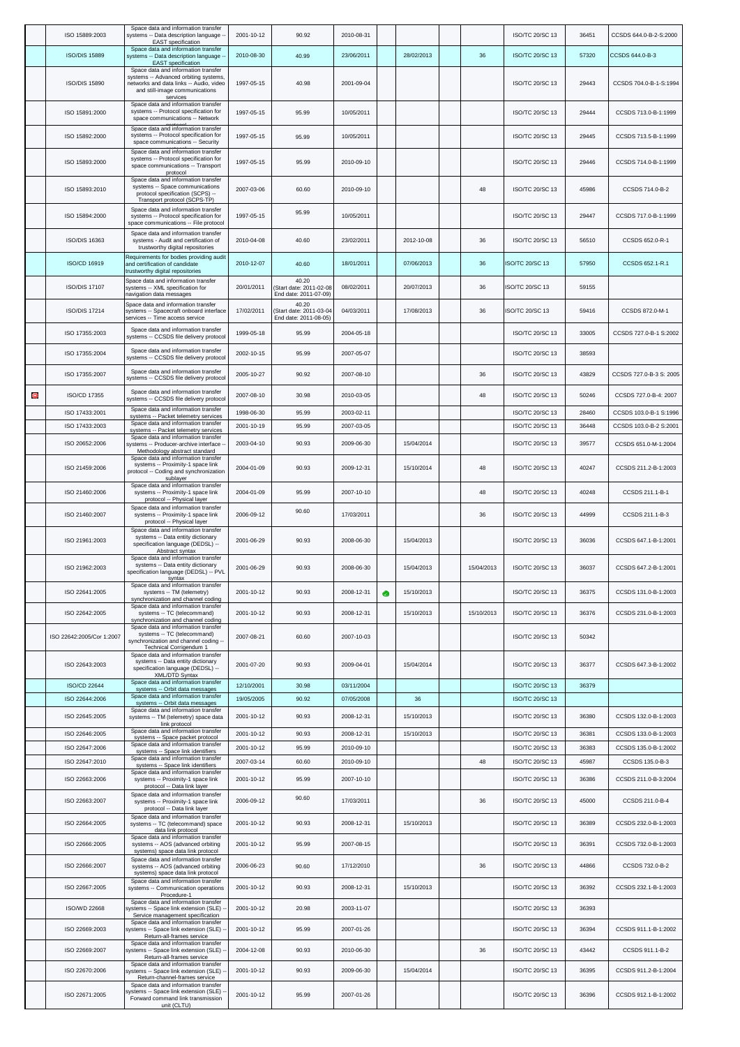|   | ISO 15889:2003                   | Space data and information transfer<br>systems -- Data description language -<br><b>EAST</b> specification                                                             | 2001-10-12               | 90.92                                                     | 2010-08-31               |   |                  |            | ISO/TC 20/SC 13                           | 36451          | CCSDS 644.0-B-2-S:2000                       |
|---|----------------------------------|------------------------------------------------------------------------------------------------------------------------------------------------------------------------|--------------------------|-----------------------------------------------------------|--------------------------|---|------------------|------------|-------------------------------------------|----------------|----------------------------------------------|
|   | <b>ISO/DIS 15889</b>             | Space data and information transfer<br>systems -- Data description language -<br><b>EAST</b> specification                                                             | 2010-08-30               | 40.99                                                     | 23/06/2011               |   | 28/02/2013       | 36         | <b>ISO/TC 20/SC 13</b>                    | 57320          | CCSDS 644.0-B-3                              |
|   | ISO/DIS 15890                    | Space data and information transfer<br>systems -- Advanced orbiting systems,<br>networks and data links -- Audio, video<br>and still-image communications<br>services  | 1997-05-15               | 40.98                                                     | 2001-09-04               |   |                  |            | ISO/TC 20/SC 13                           | 29443          | CCSDS 704.0-B-1-S:1994                       |
|   | ISO 15891:2000                   | Space data and information transfer<br>systems -- Protocol specification for<br>space communications -- Network                                                        | 1997-05-15               | 95.99                                                     | 10/05/2011               |   |                  |            | ISO/TC 20/SC 13                           | 29444          | CCSDS 713.0-B-1:1999                         |
|   | ISO 15892:2000                   | Space data and information transfer<br>systems -- Protocol specification for<br>space communications -- Security                                                       | 1997-05-15               | 95.99                                                     | 10/05/2011               |   |                  |            | ISO/TC 20/SC 13                           | 29445          | CCSDS 713.5-B-1:1999                         |
|   | ISO 15893:2000                   | Space data and information transfer<br>systems -- Protocol specification for<br>space communications -- Transport<br>protocol                                          | 1997-05-15               | 95.99                                                     | 2010-09-10               |   |                  |            | ISO/TC 20/SC 13                           | 29446          | CCSDS 714.0-B-1:1999                         |
|   | ISO 15893:2010                   | Space data and information transfer<br>systems -- Space communications<br>protocol specification (SCPS) --<br>Transport protocol (SCPS-TP)                             | 2007-03-06               | 60.60                                                     | 2010-09-10               |   |                  | 48         | ISO/TC 20/SC 13                           | 45986          | CCSDS 714.0-B-2                              |
|   | ISO 15894:2000                   | Space data and information transfer<br>systems -- Protocol specification for<br>space communications -- File protocol                                                  | 1997-05-15               | 95.99                                                     | 10/05/2011               |   |                  |            | ISO/TC 20/SC 13                           | 29447          | CCSDS 717.0-B-1:1999                         |
|   | ISO/DIS 16363                    | Space data and information transfer<br>systems - Audit and certification of<br>trustworthy digital repositories                                                        | 2010-04-08               | 40.60                                                     | 23/02/2011               |   | 2012-10-08       | 36         | ISO/TC 20/SC 13                           | 56510          | CCSDS 652.0-R-1                              |
|   | ISO/CD 16919                     | Requirements for bodies providing audit<br>and certification of candidate<br>trustworthy digital repositories                                                          | 2010-12-07               | 40.60                                                     | 18/01/2011               |   | 07/06/2013       | 36         | ISO/TC 20/SC 13                           | 57950          | CCSDS 652.1-R.1                              |
|   | <b>ISO/DIS 17107</b>             | Space data and information transfer<br>systems -- XML specification for<br>navigation data messages                                                                    | 20/01/2011               | 40.20<br>(Start date: 2011-02-08<br>End date: 2011-07-09) | 08/02/2011               |   | 20/07/2013       | 36         | ISO/TC 20/SC 13                           | 59155          |                                              |
|   | <b>ISO/DIS 17214</b>             | Space data and information transfer<br>systems -- Spacecraft onboard interface<br>services -- Time access service                                                      | 17/02/2011               | 40.20<br>Start date: 2011-03-04<br>End date: 2011-08-05)  | 04/03/2011               |   | 17/08/2013       | 36         | ISO/TC 20/SC 13                           | 59416          | CCSDS 872.0-M-1                              |
|   | ISO 17355:2003                   | Space data and information transfer<br>systems -- CCSDS file delivery protocol                                                                                         | 1999-05-18               | 95.99                                                     | 2004-05-18               |   |                  |            | ISO/TC 20/SC 13                           | 33005          | CCSDS 727.0-B-1 S:2002                       |
|   | ISO 17355:2004                   | Space data and information transfer<br>systems -- CCSDS file delivery protocol                                                                                         | 2002-10-15               | 95.99                                                     | 2007-05-07               |   |                  |            | ISO/TC 20/SC 13                           | 38593          |                                              |
|   | ISO 17355:2007                   | Space data and information transfer<br>systems -- CCSDS file delivery protocol                                                                                         | 2005-10-27               | 90.92                                                     | 2007-08-10               |   |                  | 36         | ISO/TC 20/SC 13                           | 43829          | CCSDS 727.0-B-3 S: 2005                      |
| Θ | ISO/CD 17355                     | Space data and information transfer<br>systems -- CCSDS file delivery protoco                                                                                          | 2007-08-10               | 30.98                                                     | 2010-03-05               |   |                  | 48         | <b>ISO/TC 20/SC 13</b>                    | 50246          | CCSDS 727.0-B-4: 2007                        |
|   | ISO 17433:2001                   | Space data and information transfer<br>systems -- Packet telemetry services                                                                                            | 1998-06-30               | 95.99                                                     | 2003-02-11               |   |                  |            | ISO/TC 20/SC 13                           | 28460          | CCSDS 103.0-B-1 S:1996                       |
|   | ISO 17433:2003                   | Space data and information transfer<br>systems -- Packet telemetry services                                                                                            | 2001-10-19               | 95.99                                                     | 2007-03-05               |   |                  |            | ISO/TC 20/SC 13                           | 36448          | CCSDS 103.0-B-2 S:2001                       |
|   | ISO 20652:2006                   | Space data and information transfer<br>systems -- Producer-archive interface -<br>Methodology abstract standard                                                        | 2003-04-10               | 90.93                                                     | 2009-06-30               |   | 15/04/2014       |            | ISO/TC 20/SC 13                           | 39577          | CCSDS 651.0-M-1:2004                         |
|   | ISO 21459:2006                   | Space data and information transfer<br>systems -- Proximity-1 space link<br>protocol -- Coding and synchronization<br>sublayer                                         | 2004-01-09               | 90.93                                                     | 2009-12-31               |   | 15/10/2014       | 48         | <b>ISO/TC 20/SC 13</b>                    | 40247          | CCSDS 211.2-B-1:2003                         |
|   | ISO 21460:2006                   | Space data and information transfer<br>systems -- Proximity-1 space link<br>protocol -- Physical layer                                                                 | 2004-01-09               | 95.99                                                     | 2007-10-10               |   |                  | 48         | <b>ISO/TC 20/SC 13</b>                    | 40248          | CCSDS 211.1-B-1                              |
|   | ISO 21460:2007                   | Space data and information transfer<br>systems -- Proximity-1 space link<br>protocol -- Physical layer                                                                 | 2006-09-12               | 90.60                                                     | 17/03/2011               |   |                  | 36         | <b>ISO/TC 20/SC 13</b>                    | 44999          | CCSDS 211.1-B-3                              |
|   | ISO 21961:2003                   | Space data and information transfer<br>systems -- Data entity dictionary<br>specification language (DEDSL) --<br>Abstract syntax                                       | 2001-06-29               | 90.93                                                     | 2008-06-30               |   | 15/04/2013       |            | ISO/TC 20/SC 13                           | 36036          | CCSDS 647.1-B-1:2001                         |
|   | ISO 21962:2003                   | Space data and information transfer<br>systems -- Data entity dictionary<br>specification language (DEDSL) -- PVL<br>syntax                                            | 2001-06-29               | 90.93                                                     | 2008-06-30               |   | 15/04/2013       | 15/04/2013 | ISO/TC 20/SC 13                           | 36037          | CCSDS 647.2-B-1:2001                         |
|   | ISO 22641:2005                   | Space data and information transfer<br>systems -- TM (telemetry)<br>synchronization and channel coding                                                                 | 2001-10-12               | 90.93                                                     | 2008-12-31               | ۰ | 15/10/2013       |            | ISO/TC 20/SC 13                           | 36375          | CCSDS 131.0-B-1:2003                         |
|   | ISO 22642:2005                   | Space data and information transfer<br>systems -- TC (telecommand)<br>synchronization and channel coding                                                               | 2001-10-12               | 90.93                                                     | 2008-12-31               |   | 15/10/2013       | 15/10/2013 | ISO/TC 20/SC 13                           | 36376          | CCSDS 231.0-B-1:2003                         |
|   | ISO 22642:2005/Cor 1:2007        | Space data and information transfer<br>systems -- TC (telecommand)<br>synchronization and channel coding --<br>Technical Corrigendum 1                                 | 2007-08-21               | 60.60                                                     | 2007-10-03               |   |                  |            | ISO/TC 20/SC 13                           | 50342          |                                              |
|   | ISO 22643:2003                   | Space data and information transfer<br>systems -- Data entity dictionary<br>specification language (DEDSL) --<br>XML/DTD Syntax<br>Space data and information transfer | 2001-07-20               | 90.93                                                     | 2009-04-01               |   | 15/04/2014       |            | ISO/TC 20/SC 13                           | 36377          | CCSDS 647.3-B-1:2002                         |
|   | ISO/CD 22644                     | systems -- Orbit data messages<br>Space data and information transfer                                                                                                  | 12/10/2001               | 30.98                                                     | 03/11/2004               |   |                  |            | ISO/TC 20/SC 13                           | 36379          |                                              |
|   | ISO 22644:2006<br>ISO 22645:2005 | systems -- Orbit data messages<br>Space data and information transfer                                                                                                  | 19/05/2005<br>2001-10-12 | 90.92<br>90.93                                            | 07/05/2008<br>2008-12-31 |   | 36<br>15/10/2013 |            | <b>ISO/TC 20/SC 13</b><br>ISO/TC 20/SC 13 | 36380          | CCSDS 132.0-B-1:2003                         |
|   |                                  | systems -- TM (telemetry) space data<br>link protocol<br>Space data and information transfer                                                                           |                          |                                                           |                          |   |                  |            |                                           |                |                                              |
|   | ISO 22646:2005<br>ISO 22647:2006 | systems -- Space packet protocol<br>Space data and information transfer                                                                                                | 2001-10-12<br>2001-10-12 | 90.93<br>95.99                                            | 2008-12-31<br>2010-09-10 |   | 15/10/2013       |            | ISO/TC 20/SC 13<br>ISO/TC 20/SC 13        | 36381<br>36383 | CCSDS 133.0-B-1:2003<br>CCSDS 135.0-B-1:2002 |
|   | ISO 22647:2010                   | systems -- Space link identifiers<br>Space data and information transfer                                                                                               | 2007-03-14               | 60.60                                                     | 2010-09-10               |   |                  | 48         | ISO/TC 20/SC 13                           | 45987          | CCSDS 135.0-B-3                              |
|   | ISO 22663:2006                   | systems -- Space link identifiers<br>Space data and information transfer<br>systems -- Proximity-1 space link                                                          | 2001-10-12               | 95.99                                                     | 2007-10-10               |   |                  |            | ISO/TC 20/SC 13                           | 36386          | CCSDS 211.0-B-3:2004                         |
|   | ISO 22663:2007                   | protocol -- Data link layer<br>Space data and information transfer<br>systems -- Proximity-1 space link<br>protocol -- Data link layer                                 | 2006-09-12               | 90.60                                                     | 17/03/2011               |   |                  | 36         | ISO/TC 20/SC 13                           | 45000          | CCSDS 211.0-B-4                              |
|   | ISO 22664:2005                   | Space data and information transfer<br>systems -- TC (telecommand) space<br>data link protocol                                                                         | 2001-10-12               | 90.93                                                     | 2008-12-31               |   | 15/10/2013       |            | ISO/TC 20/SC 13                           | 36389          | CCSDS 232.0-B-1:2003                         |
|   | ISO 22666:2005                   | Space data and information transfer<br>systems -- AOS (advanced orbiting<br>systems) space data link protocol                                                          | 2001-10-12               | 95.99                                                     | 2007-08-15               |   |                  |            | ISO/TC 20/SC 13                           | 36391          | CCSDS 732.0-B-1:2003                         |
|   | ISO 22666:2007                   | Space data and information transfer<br>systems -- AOS (advanced orbiting<br>systems) space data link protocol                                                          | 2006-06-23               | 90.60                                                     | 17/12/2010               |   |                  | 36         | ISO/TC 20/SC 13                           | 44866          | CCSDS 732.0-B-2                              |
|   | ISO 22667:2005                   | Space data and information transfer<br>systems -- Communication operations<br>Procedure-1                                                                              | 2001-10-12               | 90.93                                                     | 2008-12-31               |   | 15/10/2013       |            | ISO/TC 20/SC 13                           | 36392          | CCSDS 232.1-B-1:2003                         |
|   | ISO/WD 22668                     | Space data and information transfer<br>systems -- Space link extension (SLE)<br>Service management specification                                                       | 2001-10-12               | 20.98                                                     | 2003-11-07               |   |                  |            | <b>ISO/TC 20/SC 13</b>                    | 36393          |                                              |
|   | ISO 22669:2003                   | Space data and information transfer<br>systems -- Space link extension (SLE)<br>Return-all-frames service                                                              | 2001-10-12               | 95.99                                                     | 2007-01-26               |   |                  |            | ISO/TC 20/SC 13                           | 36394          | CCSDS 911.1-B-1:2002                         |
|   | ISO 22669:2007                   | Space data and information transfer<br>systems -- Space link extension (SLE)<br>Return-all-frames service<br>Space data and information transfer                       | 2004-12-08               | 90.93                                                     | 2010-06-30               |   |                  | 36         | ISO/TC 20/SC 13                           | 43442          | CCSDS 911.1-B-2                              |
|   | ISO 22670:2006                   | systems -- Space link extension (SLE)<br>Return-channel-frames service<br>Space data and information transfer                                                          | 2001-10-12               | 90.93                                                     | 2009-06-30               |   | 15/04/2014       |            | ISO/TC 20/SC 13                           | 36395          | CCSDS 911.2-B-1:2004                         |
|   | ISO 22671:2005                   | systems -- Space link extension (SLE)<br>Forward command link transmission<br>unit (CLTU)                                                                              | 2001-10-12               | 95.99                                                     | 2007-01-26               |   |                  |            | ISO/TC 20/SC 13                           | 36396          | CCSDS 912.1-B-1:2002                         |